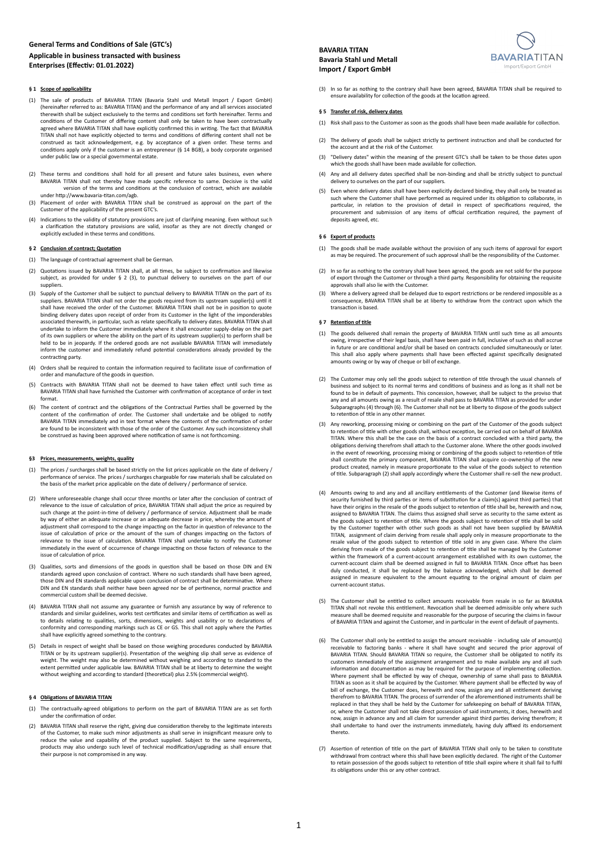# **General Terms and Conditions of Sale (GTC's) Applicable in business transacted with business Enterprises (Effectiv: 01.01.2022)**

### **§ 1 Scope of applicability**

- (1) The sale of products of BAVARIA TITAN (Bavaria Stahl und Metall Import / Export GmbH)<br>hereinafter referred to as: BAVARIA TITAN) and the performance of any and all services associated) therewith shall be subject exclusively to the terms and conditions set forth hereinafter. Terms and<br>conditions of the Customer of differing content shall only be taken to have been contractually agreed where BAVARIA TITAN shall have explicitly confirmed this in writing. The fact that BAVARIA TITAN shall not have explicitly objected to terms and conditions of differing content shall not be construed as tacit acknowledgement, e.g. by acceptance of a given order. These terms and<br>conditions apply only if the customer is an entrepreneur (§ 14 BGB), a body corporate organised under public law or a special governmental estate.
- (2) These terms and conditions shall hold for all present and future sales business, even where BAVARIA TITAN shall not thereby have made specific reference to same. Decisive is the valid version of the terms and conditions at the conclusion of contract, which are available under http://www.bavaria-titan.com/agb.
- (3) Placement of order with BAVARIA TITAN shall be construed as approval on the part of the Customer of the applicability of the present GTC's.
- Indications to the validity of statutory provisions are just of clarifying meaning. Even without such a clarification the statutory provisions are valid, insofar as they are not directly changed or<br>explicitly excluded in these terms and conditions.

#### § 2 Conclusion of contract: Quotation

- The language of contractual agreement shall be German.
- (2) Quotations issued by BAVARIA TITAN shall, at all times, be subject to confirmation and likewise subject, as provided for under § 2 (3), to punctual delivery to ourselves on the part of our suppliers.
- (3) Supply of the Customer shall be subject to punctual delivery to BAVARIA TITAN on the part of its suppliers. BAVARIA TITAN shall not order the goods required from its upstream supplier(s) until it shall have received the order of the Customer. BAVARIA TITAN shall not be in position to quote binding delivery dates upon receipt of order from its Customer in the light of the imponderables<br>associated therewith, in particular, such as relate specifically to delivery dates. BAVARIA TITAN shall undertake to inform the Customer immediately where it shall encounter supply-delay on the part<br>of its own suppliers or where the ability on the part of its upstream supplier(s) to perform shall be held to be in jeopardy. If the ordered goods are not available BAVARIA TITAN will immediately inform the customer and immediately refund potential considerations already provided by the contracting party.
- (4) Orders shall be required to contain the information required to facilitate issue of confirmation of order and manufacture of the goods in question.
- Contracts with BAVARIA TITAN shall not be deemed to have taken effect until such time as BAVARIA TITAN shall have furnished the Customer with confirmation of acceptance of order in text format. (5)
- (6) The content of contract and the obligations of the Contractual Parties shall be governed by the content of the confirmation of order. The Customer shall undertake and be obliged to notify BAVARIA TITAN immediately and in text format where the contents of the confirmation of order are found to be inconsistent with those of the order of the Customer. Any such inconsistency shall be construed as having been approved where notification of same is not forthcoming.

### **§3 Prices, measurements, weights, quality**

- The prices / surcharges shall be based strictly on the list prices applicable on the date of delivery / performance of service. The prices / surcharges chargeable for raw materials shall be calculated on the basis of the market price applicable on the date of delivery / performance of service. (1)
- Where unforeseeable change shall occur three months or later after the conclusion of contract of relevance to the issue of calculation of price, BAVARIA TITAN shall adjust the price as required by such change at the point-in-time of delivery / performance of service. Adjustment shall be made by way of either an adequate increase or an adequate decrease in price, whereby the amount of adjustment shall correspond to the change impacting on the factor in question of relevance to the issue of calculation of price or the amount of the sum of changes impacting on the factors of<br>relevance to the issue of calculation. BAVARIA TITAN shall undertake to notify the Customer immediately in the event of occurrence of change impacting on those factors of relevance to the issue of calculation of price. (2)
- (3) Qualities, sorts and dimensions of the goods in question shall be based on those DIN and EN standards agreed upon conclusion of contract. Where no such standards shall have been agreed, those DIN and EN standards applicable upon conclusion of contract shall be determinative. Where DIN and EN standards shall neither have been agreed nor be of pertinence, normal practice and mmercial custom shall be deemed decisive.
- (4) BAVARIA TITAN shall not assume any guarantee or furnish any assurance by way of reference to standards and similar guidelines, works test certificates and similar items of certification as well as<br>to details relating to qualities, sorts, dimensions, weights and usability or to declarations of conformity and corresponding markings such as CE or GS. This shall not apply where the Parties shall have explicitly agreed something to the contrary.
- (5) Details in respect of weight shall be based on those weighing procedures conducted by BAVARIA<br>TITAN or by its upstream supplier(s). Presentation of the weighing slip shall serve as evidence of weight. The weight may also be determined without weighing and according to standard to the<br>extent permitted under applicable law. BAVARIA TITAN shall be at liberty to determine the weight without weighing and according to standard (theoretical) plus 2.5% (commercial weight).

## § 4 Obligations of BAVARIA TITAN

- (1) The contractually-agreed obligations to perform on the part of BAVARIA TITAN are as set forth under the confirmation of order.
- (2) BAVARIA TITAN shall reserve the right, giving due consideration thereby to the legitimate interests of the Customer, to make such minor adjustments as shall serve in insignificant measure only to reduce the value and capability of the product supplied. Subject to the same requirements, products may also undergo such level of technical modification/upgrading as shall ensure that their purpose is not compromised in any way.

# **BAVARIA TITAN Bavaria Stahl und Metall Import / Export GmbH**



(3) In so far as nothing to the contrary shall have been agreed, BAVARIA TITAN shall be required to ensure availability for collection of the goods at the location agreed.

#### **§ 5 Transfer of risk, delivery dates**

- (1) Risk shall pass to the Customer as soon as the goods shall have been made available for collection.
- (2) The delivery of goods shall be subject strictly to pertinent instruction and shall be conducted for the account and at the risk of the Customer.
- (3) "Delivery dates" within the meaning of the present GTC's shall be taken to be those dates upon which the goods shall have been made available for collection.
- (4) Any and all delivery dates specified shall be non-binding and shall be strictly subject to punctual delivery to ourselves on the part of our suppliers.
- (5) Even where delivery dates shall have been explicitly declared binding, they shall only be treated as such where the Customer shall have performed as required under its obligation to collaborate, in particular, in relation to the provision of detail in respect of specifications required, the procurement and submission of any items of official certification required, the payment of deposits agreed, etc.

# **§ 6 Export of products**

- (1) The goods shall be made available without the provision of any such items of approval for export as may be required. The procurement of such approval shall be the responsibility of the Customer.
- (2) In so far as nothing to the contrary shall have been agreed, the goods are not sold for the purpose of export through the Customer or through a third party. Responsibility for obtaining the requisite approvals shall also lie with the Customer.
- (3) Where a delivery agreed shall be delayed due to export restrictions or be rendered impossible as a consequence, BAVARIA TITAN shall be at liberty to withdraw from the contract upon which the transaction is based.

### § 7 Retention of title

- (1) The goods delivered shall remain the property of BAVARIA TITAN until such time as all amounts owing, irrespective of their legal basis, shall have been paid in full, inclusive of such as shall accrue in future or are conditional and/or shall be based on contracts concluded simultaneously or later. This shall also apply where payments shall have been effected against specifically designated amounts owing or by way of cheque or bill of exchange.
- (2) The Customer may only sell the goods subject to retention of title through the usual channels of business and subject to its normal terms and conditions of business and as long as it shall not be found to be in default of payments. This concession, however, shall be subject to the proviso that any and all amounts owing as a result of resale shall pass to BAVARIA TITAN as provided for under Subparagraphs (4) through (6). The Customer shall not be at liberty to dispose of the goods subject<br>to retention of title in any other manner.
- (3) Any reworking, processing mixing or combining on the part of the Customer of the goods subject<br>to retention of title with other goods shall, without exception, be carried out on behalf of BAVARIA<br>TITAN. Where this shal obligations deriving therefrom shall attach to the Customer alone. Where the other goods involved in the event of reworking, processing mixing or combining of the goods subject to retention of title<br>shall constitute the primary component, BAVARIA TITAN shall acquire co-ownership of the new product created, namely in measure proportionate to the value of the goods subject to retention<br>of title. Subparagraph (2) shall apply accordingly where the Customer shall re-sell the new product.
- (4) Amounts owing to and any and all ancillary entitlements of the Customer (and likewise items of security furnished by third parties or items of substitution for a claim(s) against third parties) that have their origins in the resale of the goods subject to retention of title shall be, herewith and now, assigned to BAVARIA TITAN. The claims thus assigned shall serve as security to the same extent as<br>the goods subject to retention of title. Where the goods subject to retention of title shall be sold<br>by the Customer togethe TITAN, assignment of claim deriving from resale shall apply only in measure proportionate to the resale value of the goods subject to retention of title sold in any given case. Where the claim deriving from resale of the goods subject to retention of title shall be managed by the Customer within the framework of a current-account arrangement established with its own customer, the<br>current-account claim shall be deemed assigned in full to BAVARIA TITAN. Once offset has been duly conducted, it shall be replaced by the balance acknowledged, which shall be deemed<br>assigned in measure equivalent to the amount equating to the original amount of claim per currentaccount status.
- (5) The Customer shall be entitled to collect amounts receivable from resale in so far as BAVARIA TITAN shall not revoke this entitlement. Revocation shall be deemed admissible only where such measure shall be deemed requisite and reasonable for the purpose of securing the claims in favour of BAVARIA TITAN and against the Customer, and in par\*cular in the event of default of payments.
- (6) The Customer shall only be entitled to assign the amount receivable including sale of amount(s) receivable to factoring banks - where it shall have sought and secured the prior approval of BAVARIA TITAN. Should BAVARIA TITAN so require, the Customer shall be obligated to notify its customers immediately of the assignment arrangement and to make available any and all such information and documentation as may be required for the purpose of implementing collection.<br>Where payment shall be effected by way of cheque, ownership of same shall pass to BAVARIA TITAN as soon as it shall be acquired by the Customer. Where payment shall be effected by way of bill of exchange, the Customer does, herewith and now, assign any and all en\*tlement deriving therefrom to BAVARIA TITAN. The process of surrender of the aforemen\*oned instruments shall be replaced in that they shall be held by the Customer for safekeeping on behalf of BAVARIA TITAN, or, where the Customer shall not take direct possession of said instruments, it does, herewith and<br>now, assign in advance any and all claim for surrender against third parties deriving therefrom; it shall undertake to hand over the instruments immediately, having duly affixed its endorsement thereto.
- (7) Assertion of retention of title on the part of BAVARIA TITAN shall only to be taken to constitute withdrawal from contract where this shall have been explicitly declared. The right of the Customer to retain possession of the goods subject to retention of title shall expire where it shall fail to fulfil its obligations under this or any other contract.